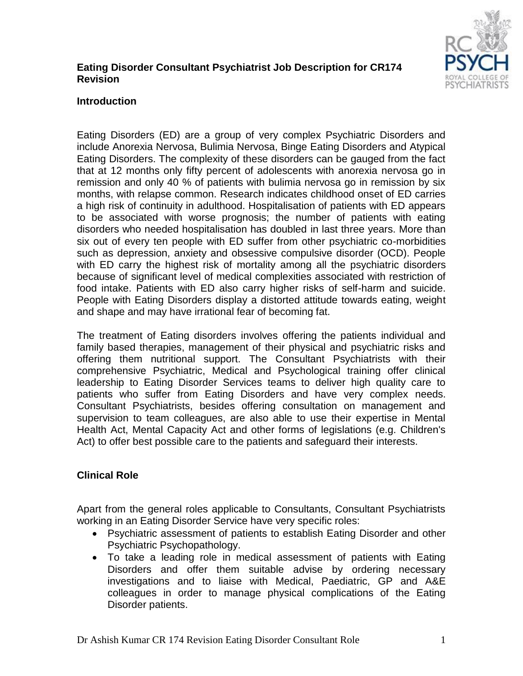#### **Eating Disorder Consultant Psychiatrist Job Description for CR174 Revision**



### **Introduction**

Eating Disorders (ED) are a group of very complex Psychiatric Disorders and include Anorexia Nervosa, Bulimia Nervosa, Binge Eating Disorders and Atypical Eating Disorders. The complexity of these disorders can be gauged from the fact that at 12 months only fifty percent of adolescents with anorexia nervosa go in remission and only 40 % of patients with bulimia nervosa go in remission by six months, with relapse common. Research indicates childhood onset of ED carries a high risk of continuity in adulthood. Hospitalisation of patients with ED appears to be associated with worse prognosis; the number of patients with eating disorders who needed hospitalisation has doubled in last three years. More than six out of every ten people with ED suffer from other psychiatric co-morbidities such as depression, anxiety and obsessive compulsive disorder (OCD). People with ED carry the highest risk of mortality among all the psychiatric disorders because of significant level of medical complexities associated with restriction of food intake. Patients with ED also carry higher risks of self-harm and suicide. People with Eating Disorders display a distorted attitude towards eating, weight and shape and may have irrational fear of becoming fat.

The treatment of Eating disorders involves offering the patients individual and family based therapies, management of their physical and psychiatric risks and offering them nutritional support. The Consultant Psychiatrists with their comprehensive Psychiatric, Medical and Psychological training offer clinical leadership to Eating Disorder Services teams to deliver high quality care to patients who suffer from Eating Disorders and have very complex needs. Consultant Psychiatrists, besides offering consultation on management and supervision to team colleagues, are also able to use their expertise in Mental Health Act, Mental Capacity Act and other forms of legislations (e.g. Children's Act) to offer best possible care to the patients and safeguard their interests.

### **Clinical Role**

Apart from the general roles applicable to Consultants, Consultant Psychiatrists working in an Eating Disorder Service have very specific roles:

- Psychiatric assessment of patients to establish Eating Disorder and other Psychiatric Psychopathology.
- To take a leading role in medical assessment of patients with Eating Disorders and offer them suitable advise by ordering necessary investigations and to liaise with Medical, Paediatric, GP and A&E colleagues in order to manage physical complications of the Eating Disorder patients.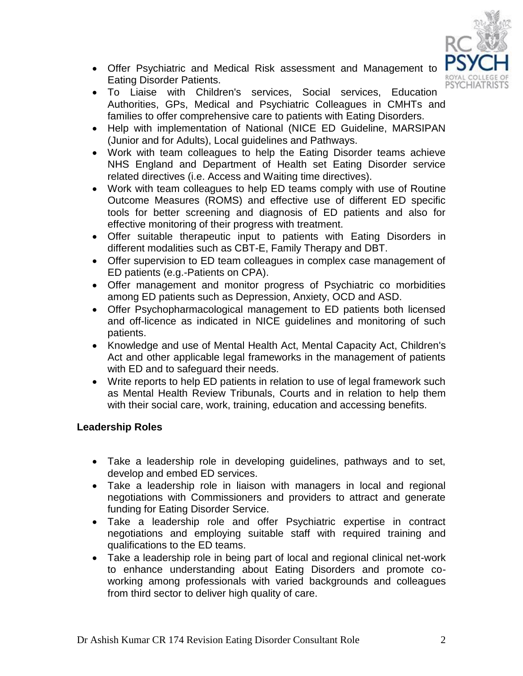

- Offer Psychiatric and Medical Risk assessment and Management to Eating Disorder Patients.
- To Liaise with Children's services, Social services, Education Authorities, GPs, Medical and Psychiatric Colleagues in CMHTs and families to offer comprehensive care to patients with Eating Disorders.
- Help with implementation of National (NICE ED Guideline, MARSIPAN (Junior and for Adults), Local guidelines and Pathways.
- Work with team colleagues to help the Eating Disorder teams achieve NHS England and Department of Health set Eating Disorder service related directives (i.e. Access and Waiting time directives).
- Work with team colleagues to help ED teams comply with use of Routine Outcome Measures (ROMS) and effective use of different ED specific tools for better screening and diagnosis of ED patients and also for effective monitoring of their progress with treatment.
- Offer suitable therapeutic input to patients with Eating Disorders in different modalities such as CBT-E, Family Therapy and DBT.
- Offer supervision to ED team colleagues in complex case management of ED patients (e.g.-Patients on CPA).
- Offer management and monitor progress of Psychiatric co morbidities among ED patients such as Depression, Anxiety, OCD and ASD.
- Offer Psychopharmacological management to ED patients both licensed and off-licence as indicated in NICE guidelines and monitoring of such patients.
- Knowledge and use of Mental Health Act, Mental Capacity Act, Children's Act and other applicable legal frameworks in the management of patients with ED and to safeguard their needs.
- Write reports to help ED patients in relation to use of legal framework such as Mental Health Review Tribunals, Courts and in relation to help them with their social care, work, training, education and accessing benefits.

# **Leadership Roles**

- Take a leadership role in developing guidelines, pathways and to set, develop and embed ED services.
- Take a leadership role in liaison with managers in local and regional negotiations with Commissioners and providers to attract and generate funding for Eating Disorder Service.
- Take a leadership role and offer Psychiatric expertise in contract negotiations and employing suitable staff with required training and qualifications to the ED teams.
- Take a leadership role in being part of local and regional clinical net-work to enhance understanding about Eating Disorders and promote coworking among professionals with varied backgrounds and colleagues from third sector to deliver high quality of care.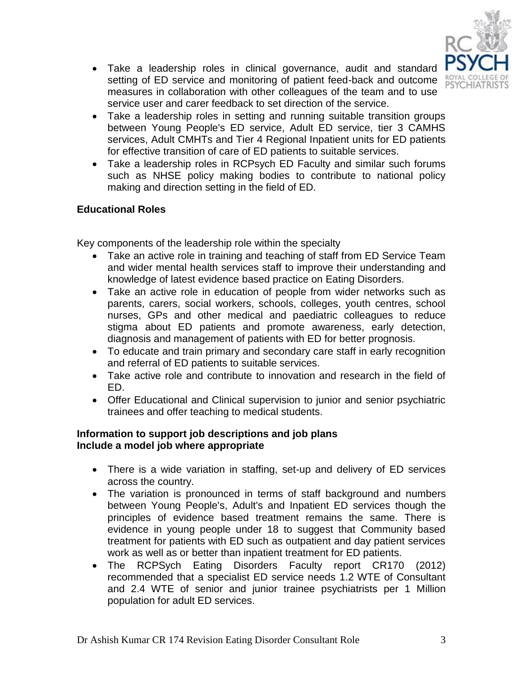

- Take a leadership roles in clinical governance, audit and standard setting of ED service and monitoring of patient feed-back and outcome measures in collaboration with other colleagues of the team and to use service user and carer feedback to set direction of the service.
- Take a leadership roles in setting and running suitable transition groups between Young People's ED service, Adult ED service, tier 3 CAMHS services, Adult CMHTs and Tier 4 Regional Inpatient units for ED patients for effective transition of care of ED patients to suitable services.
- Take a leadership roles in RCPsych ED Faculty and similar such forums such as NHSE policy making bodies to contribute to national policy making and direction setting in the field of ED.

## **Educational Roles**

Key components of the leadership role within the specialty

- Take an active role in training and teaching of staff from ED Service Team and wider mental health services staff to improve their understanding and knowledge of latest evidence based practice on Eating Disorders.
- Take an active role in education of people from wider networks such as parents, carers, social workers, schools, colleges, youth centres, school nurses, GPs and other medical and paediatric colleagues to reduce stigma about ED patients and promote awareness, early detection, diagnosis and management of patients with ED for better prognosis.
- To educate and train primary and secondary care staff in early recognition and referral of ED patients to suitable services.
- Take active role and contribute to innovation and research in the field of ED.
- Offer Educational and Clinical supervision to junior and senior psychiatric trainees and offer teaching to medical students.

### **Information to support job descriptions and job plans Include a model job where appropriate**

- There is a wide variation in staffing, set-up and delivery of ED services across the country.
- The variation is pronounced in terms of staff background and numbers between Young People's, Adult's and Inpatient ED services though the principles of evidence based treatment remains the same. There is evidence in young people under 18 to suggest that Community based treatment for patients with ED such as outpatient and day patient services work as well as or better than inpatient treatment for ED patients.
- The RCPSych Eating Disorders Faculty report CR170 (2012) recommended that a specialist ED service needs 1.2 WTE of Consultant and 2.4 WTE of senior and junior trainee psychiatrists per 1 Million population for adult ED services.